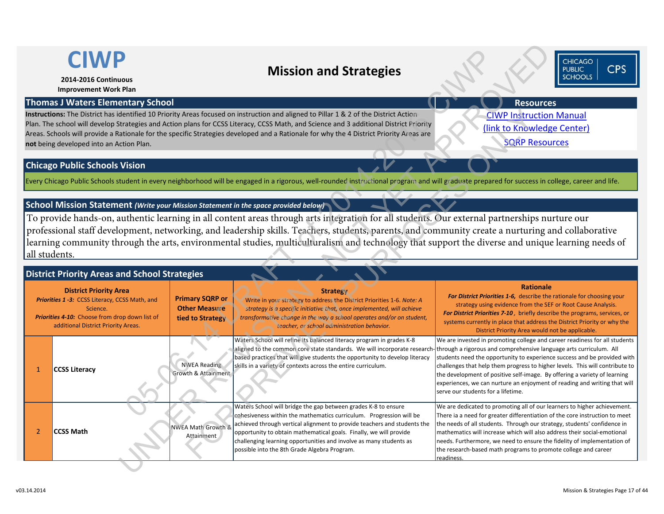

Waters School will refine its balanced literacy program in grades K-8

skills in a variety of contexts across the entire curriculum.

Waters School will bridge the gap between grades K-8 to ensure

opportunity to obtain mathematical goals. Finally, we will provide challenging learning opportunities and involve as many students as

possible into the 8th Grade Algebra Program.

District Priority Area would not be applicable.

aligned to the common core state standards. We will incorporate researchbased practices that will give students the opportunity to develop literacy We are invested in promoting college and career readiness for all students through a rigorous and comprehensive language arts curriculum. All students need the opportunity to experience success and be provided with challenges that help them progress to higher levels. This will contribute to the development of positive self-image. By offering a variety of learning experiences, we can nurture an enjoyment of reading and writing that will serve our students for a lifetime.

cohesiveness within the mathematics curriculum. Progression will be achieved through vertical alignment to provide teachers and students the We are dedicated to promoting all of our learners to higher achievement. There ia a need for greater differentiation of the core instruction to meet the needs of all students. Through our strategy, students' confidence in mathematics will increase which will also address their social-emotional needs. Furthermore, we need to ensure the fidelity of implementation of the research-based math programs to promote college and career readiness.

**1 CCSS Literacy NWEA Reading** 

**2 CCSS Math** NWEA Math Growth &

Growth & Attainment

Attainment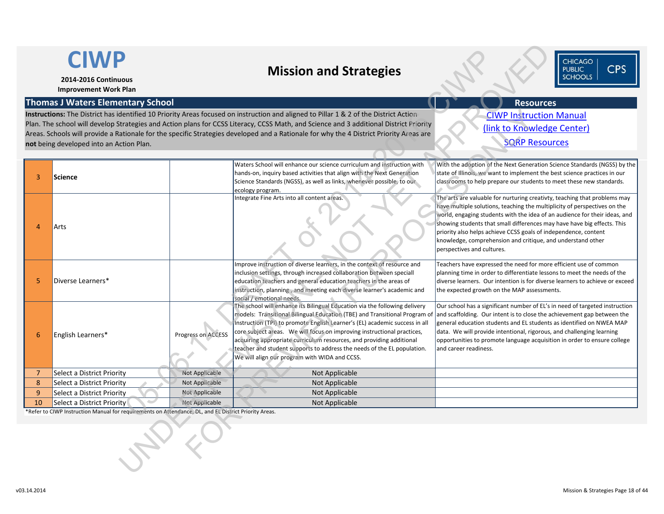

\*Refer to CIWP Instruction Manual for requirements on Attendance, DL, and EL District Priority Areas.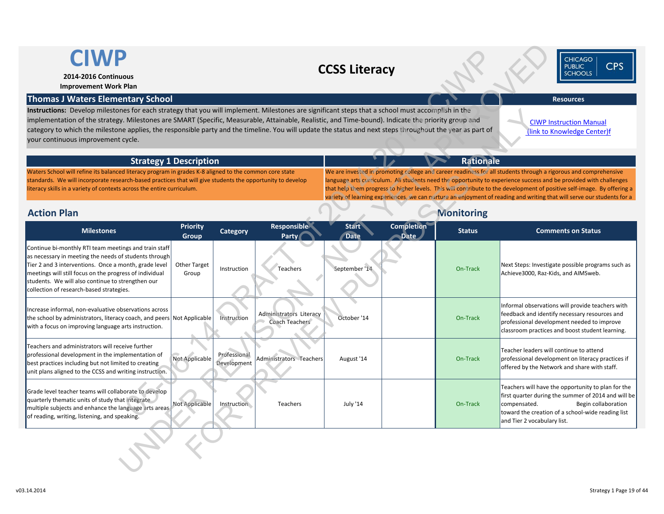| 2014-2016 Continuous<br><b>Improvement Work Plan</b>                                                                                                                                                                                                                                                                                                                                                                                                                                                        |                                 |                             |                                                  | <b>CCSS Literacy</b>        |                                  |                   | <b>CHICAGO</b><br><b>CPS</b><br><b>PUBLIC</b><br><b>SCHOOLS</b>                                                                                                                                                                                                                                                                                                                                                                                                                           |
|-------------------------------------------------------------------------------------------------------------------------------------------------------------------------------------------------------------------------------------------------------------------------------------------------------------------------------------------------------------------------------------------------------------------------------------------------------------------------------------------------------------|---------------------------------|-----------------------------|--------------------------------------------------|-----------------------------|----------------------------------|-------------------|-------------------------------------------------------------------------------------------------------------------------------------------------------------------------------------------------------------------------------------------------------------------------------------------------------------------------------------------------------------------------------------------------------------------------------------------------------------------------------------------|
| <b>Thomas J Waters Elementary School</b>                                                                                                                                                                                                                                                                                                                                                                                                                                                                    |                                 |                             |                                                  |                             |                                  |                   | <b>Resources</b>                                                                                                                                                                                                                                                                                                                                                                                                                                                                          |
| Instructions: Develop milestones for each strategy that you will implement. Milestones are significant steps that a school must accomplish in the<br>implementation of the strategy. Milestones are SMART (Specific, Measurable, Attainable, Realistic, and Time-bound). Indicate the priority group and<br>category to which the milestone applies, the responsible party and the timeline. You will update the status and next steps throughout the year as part of<br>your continuous improvement cycle. |                                 |                             |                                                  |                             |                                  |                   | <b>CIWP Instruction Manual</b><br>(link to Knowledge Center)f                                                                                                                                                                                                                                                                                                                                                                                                                             |
|                                                                                                                                                                                                                                                                                                                                                                                                                                                                                                             | <b>Strategy 1 Description</b>   |                             |                                                  |                             |                                  | Rationale         |                                                                                                                                                                                                                                                                                                                                                                                                                                                                                           |
| Waters School will refine its balanced literacy program in grades K-8 aligned to the common core state<br>standards. We will incorporate research-based practices that will give students the opportunity to develop<br>literacy skills in a variety of contexts across the entire curriculum.                                                                                                                                                                                                              |                                 |                             |                                                  |                             |                                  |                   | We are invested in promoting college and career readiness for all students through a rigorous and comprehensive<br>language arts curriculum. All students need the opportunity to experience success and be provided with challenges<br>that help them progress to higher levels. This will contribute to the development of positive self-image. By offering a<br>variety of learning experiences, we can nurture an enjoyment of reading and writing that will serve our students for a |
| <b>Action Plan</b>                                                                                                                                                                                                                                                                                                                                                                                                                                                                                          |                                 |                             |                                                  |                             |                                  | <b>Monitoring</b> |                                                                                                                                                                                                                                                                                                                                                                                                                                                                                           |
| <b>Milestones</b>                                                                                                                                                                                                                                                                                                                                                                                                                                                                                           | <b>Priority</b><br><b>Group</b> | Category                    | <b>Responsible</b><br>Party                      | <b>Start</b><br><b>Date</b> | <b>Completion</b><br><b>Date</b> | <b>Status</b>     | <b>Comments on Status</b>                                                                                                                                                                                                                                                                                                                                                                                                                                                                 |
| Continue bi-monthly RTI team meetings and train staff<br>as necessary in meeting the needs of students through<br>Tier 2 and 3 interventions. Once a month, grade level<br>meetings will still focus on the progress of individual<br>students. We will also continue to strengthen our<br>collection of research-based strategies.                                                                                                                                                                         | <b>Other Target</b><br>Group    | Instruction                 | <b>Teachers</b>                                  | September '14               |                                  | On-Track          | Next Steps: Investigate possible programs such as<br>Achieve3000, Raz-Kids, and AIMSweb.                                                                                                                                                                                                                                                                                                                                                                                                  |
| Increase informal, non-evaluative observations across<br>the school by administrators, literacy coach, and peers Not Applicable<br>with a focus on improving language arts instruction.                                                                                                                                                                                                                                                                                                                     |                                 | Instruction                 | Administrators Literacy<br><b>Coach Teachers</b> | October '14                 |                                  | <b>On-Track</b>   | Informal observations will provide teachers with<br>feedback and identify necessary resources and<br>professional development needed to improve<br>classroom practices and boost student learning.                                                                                                                                                                                                                                                                                        |
| Teachers and administrators will receive further<br>professional development in the implementation of<br>best practices including but not limited to creating<br>unit plans aligned to the CCSS and writing instruction.                                                                                                                                                                                                                                                                                    | Not Applicable                  | Professional<br>Development | Administrators Teachers                          | August '14                  |                                  | On-Track          | Teacher leaders will continue to attend<br>professional development on literacy practices if<br>offered by the Network and share with staff.                                                                                                                                                                                                                                                                                                                                              |
| Grade level teacher teams will collaborate to develop<br>quarterly thematic units of study that integrate<br>multiple subjects and enhance the language arts areas<br>of reading, writing, listening, and speaking.                                                                                                                                                                                                                                                                                         | Not Applicable                  | Instruction                 | Teachers                                         | July '14                    |                                  | On-Track          | Teachers will have the opportunity to plan for the<br>first quarter during the summer of 2014 and will be<br>Begin collaboration<br>compensated.<br>toward the creation of a school-wide reading list<br>and Tier 2 vocabulary list.                                                                                                                                                                                                                                                      |
|                                                                                                                                                                                                                                                                                                                                                                                                                                                                                                             |                                 |                             |                                                  |                             |                                  |                   |                                                                                                                                                                                                                                                                                                                                                                                                                                                                                           |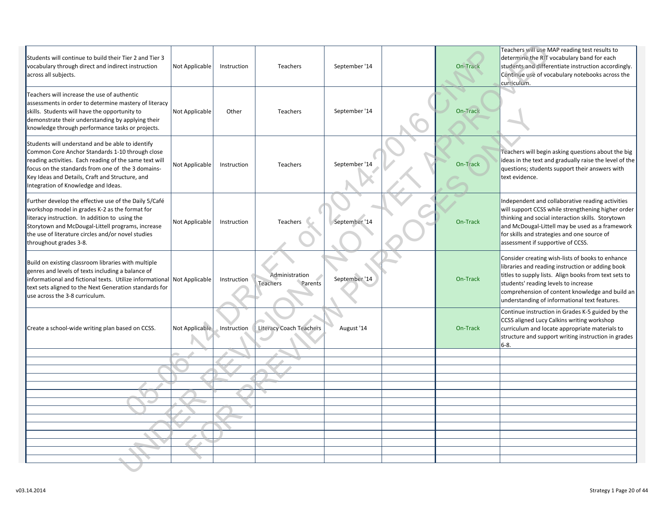| Students will continue to build their Tier 2 and Tier 3<br>vocabulary through direct and indirect instruction<br>across all subjects.                                                                                                                                                                        | Not Applicable | Instruction | Teachers                                     | September '14 | On-Track | Teachers will use MAP reading test results to<br>determine the RIT vocabulary band for each<br>students and differentiate instruction accordingly.<br>Continue use of vocabulary notebooks across the<br>curriculum.                                                                                      |
|--------------------------------------------------------------------------------------------------------------------------------------------------------------------------------------------------------------------------------------------------------------------------------------------------------------|----------------|-------------|----------------------------------------------|---------------|----------|-----------------------------------------------------------------------------------------------------------------------------------------------------------------------------------------------------------------------------------------------------------------------------------------------------------|
| Teachers will increase the use of authentic<br>assessments in order to determine mastery of literacy<br>skills. Students will have the opportunity to<br>demonstrate their understanding by applying their<br>knowledge through performance tasks or projects.                                               | Not Applicable | Other       | Teachers                                     | September '14 | On-Track |                                                                                                                                                                                                                                                                                                           |
| Students will understand and be able to identify<br>Common Core Anchor Standards 1-10 through close<br>reading activities. Each reading of the same text will<br>focus on the standards from one of the 3 domains-<br>Key Ideas and Details, Craft and Structure, and<br>Integration of Knowledge and Ideas. | Not Applicable | Instruction | Teachers                                     | September '14 | On-Track | Teachers will begin asking questions about the big<br>ideas in the text and gradually raise the level of the<br>questions; students support their answers with<br>text evidence.                                                                                                                          |
| Further develop the effective use of the Daily 5/Café<br>workshop model in grades K-2 as the format for<br>literacy instruction. In addition to using the<br>Storytown and McDougal-Littell programs, increase<br>the use of literature circles and/or novel studies<br>throughout grades 3-8.               | Not Applicable | Instruction | Teachers                                     | September '14 | On-Track | Independent and collaborative reading activities<br>will support CCSS while strengthening higher order<br>thinking and social interaction skills. Storytown<br>and McDougal-Littell may be used as a framework<br>for skills and strategies and one source of<br>assessment if supportive of CCSS.        |
| Build on existing classroom libraries with multiple<br>genres and levels of texts including a balance of<br>informational and fictional texts. Utilize informational Not Applicable<br>text sets aligned to the Next Generation standards for<br>use across the 3-8 curriculum.                              |                | Instruction | Administration<br><b>Teachers</b><br>Parents | September '14 | On-Track | Consider creating wish-lists of books to enhance<br>libraries and reading instruction or adding book<br>titles to supply lists. Align books from text sets to<br>students' reading levels to increase<br>comprehension of content knowledge and build an<br>understanding of informational text features. |
| Create a school-wide writing plan based on CCSS.                                                                                                                                                                                                                                                             | Not Applicable | Instruction | <b>Literacy Coach Teachers</b>               | August '14    | On-Track | Continue instruction in Grades K-5 guided by the<br>CCSS aligned Lucy Calkins writing workshop<br>curriculum and locate appropriate materials to<br>structure and support writing instruction in grades<br>$6-8.$                                                                                         |
|                                                                                                                                                                                                                                                                                                              |                |             |                                              |               |          |                                                                                                                                                                                                                                                                                                           |
|                                                                                                                                                                                                                                                                                                              |                |             |                                              |               |          |                                                                                                                                                                                                                                                                                                           |
|                                                                                                                                                                                                                                                                                                              |                |             |                                              |               |          |                                                                                                                                                                                                                                                                                                           |
| ٠                                                                                                                                                                                                                                                                                                            |                |             |                                              |               |          |                                                                                                                                                                                                                                                                                                           |
|                                                                                                                                                                                                                                                                                                              |                |             |                                              |               |          |                                                                                                                                                                                                                                                                                                           |
|                                                                                                                                                                                                                                                                                                              |                |             |                                              |               |          |                                                                                                                                                                                                                                                                                                           |
|                                                                                                                                                                                                                                                                                                              |                |             |                                              |               |          |                                                                                                                                                                                                                                                                                                           |
|                                                                                                                                                                                                                                                                                                              |                |             |                                              |               |          |                                                                                                                                                                                                                                                                                                           |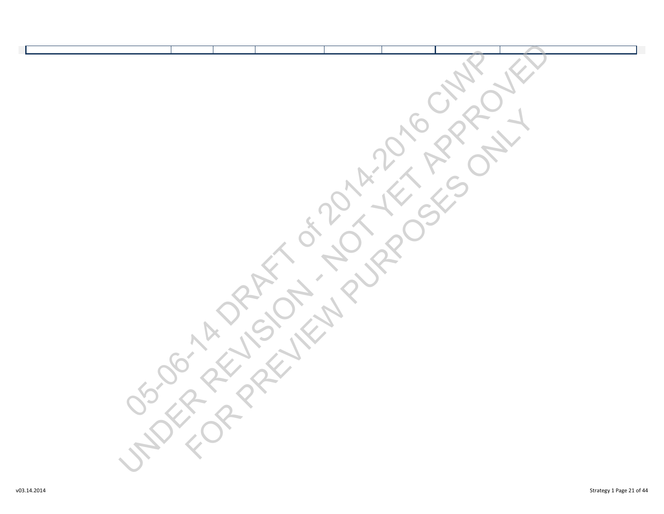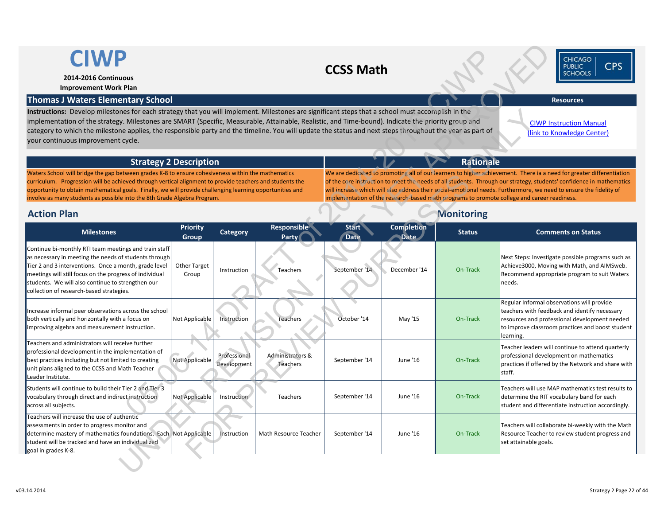| 2014-2016 Continuous<br><b>Improvement Work Plan</b><br><b>Thomas J Waters Elementary School</b><br>Instructions: Develop milestones for each strategy that you will implement. Milestones are significant steps that a school must accomplish in the<br>implementation of the strategy. Milestones are SMART (Specific, Measurable, Attainable, Realistic, and Time-bound). Indicate the priority group and<br>category to which the milestone applies, the responsible party and the timeline. You will update the status and next steps throughout the year as part of<br>your continuous improvement cycle. |                                 |                             |                              | <b>CCSS Math</b>            |                           |                   | <b>CHICAGO</b><br><b>CPS</b><br><b>PUBLIC</b><br><b>SCHOOLS</b><br><b>Resources</b><br><b>CIWP Instruction Manual</b><br>(link to Knowledge Center)                                                                                                                                                                                                                                                                                                               |
|-----------------------------------------------------------------------------------------------------------------------------------------------------------------------------------------------------------------------------------------------------------------------------------------------------------------------------------------------------------------------------------------------------------------------------------------------------------------------------------------------------------------------------------------------------------------------------------------------------------------|---------------------------------|-----------------------------|------------------------------|-----------------------------|---------------------------|-------------------|-------------------------------------------------------------------------------------------------------------------------------------------------------------------------------------------------------------------------------------------------------------------------------------------------------------------------------------------------------------------------------------------------------------------------------------------------------------------|
| <b>Strategy 2 Description</b>                                                                                                                                                                                                                                                                                                                                                                                                                                                                                                                                                                                   |                                 |                             |                              |                             |                           | <b>Rationale</b>  |                                                                                                                                                                                                                                                                                                                                                                                                                                                                   |
| Waters School will bridge the gap between grades K-8 to ensure cohesiveness within the mathematics<br>curriculum. Progression will be achieved through vertical alignment to provide teachers and students the<br>opportunity to obtain mathematical goals. Finally, we will provide challenging learning opportunities and<br>involve as many students as possible into the 8th Grade Algebra Program.<br><b>Action Plan</b>                                                                                                                                                                                   |                                 |                             |                              |                             |                           | <b>Monitoring</b> | We are dedicated to promoting all of our learners to higher achievement. There ia a need for greater differentiation<br>of the core instruction to meet the needs of all students. Through our strategy, students' confidence in mathematics<br>will increase which will also address their social-emotional needs. Furthermore, we need to ensure the fidelity of<br>implementation of the research-based math programs to promote college and career readiness. |
| <b>Milestones</b>                                                                                                                                                                                                                                                                                                                                                                                                                                                                                                                                                                                               | <b>Priority</b><br><b>Group</b> | Category                    | Responsible<br><b>Party</b>  | <b>Start</b><br><b>Date</b> | <b>Completion</b><br>Date | <b>Status</b>     | <b>Comments on Status</b>                                                                                                                                                                                                                                                                                                                                                                                                                                         |
| Continue bi-monthly RTI team meetings and train staff<br>as necessary in meeting the needs of students through<br>Tier 2 and 3 interventions. Once a month, grade level<br>meetings will still focus on the progress of individual<br>students. We will also continue to strengthen our<br>collection of research-based strategies.                                                                                                                                                                                                                                                                             | Other Target<br>Group           | Instruction                 | Teachers                     | September '14               | December '14              | On-Track          | Next Steps: Investigate possible programs such as<br>Achieve3000, Moving with Math, and AIMSweb.<br>Recommend appropriate program to suit Waters<br>needs.                                                                                                                                                                                                                                                                                                        |
| Increase informal peer observations across the school<br>both vertically and horizontally with a focus on<br>improving algebra and measurement instruction.                                                                                                                                                                                                                                                                                                                                                                                                                                                     | Not Applicable                  | Instruction                 | <b>Teachers</b>              | October '14                 | May '15                   | On-Track          | Regular Informal observations will provide<br>teachers with feedback and identify necessary<br>resources and professional development needed<br>to improve classroom practices and boost student<br>learning.                                                                                                                                                                                                                                                     |
| Teachers and administrators will receive further<br>professional development in the implementation of<br>best practices including but not limited to creating<br>unit plans aligned to the CCSS and Math Teacher<br>Leader Institute.                                                                                                                                                                                                                                                                                                                                                                           | Not Applicable                  | Professional<br>Development | Administrators &<br>Teachers | September '14               | June '16                  | On-Track          | Teacher leaders will continue to attend quarterly<br>professional development on mathematics<br>practices if offered by the Network and share with<br>staff.                                                                                                                                                                                                                                                                                                      |
| Students will continue to build their Tier 2 and Tier 3<br>vocabulary through direct and indirect instruction<br>across all subjects.                                                                                                                                                                                                                                                                                                                                                                                                                                                                           | Not Applicable                  | Instruction                 | Teachers                     | September '14               | June '16                  | On-Track          | Teachers will use MAP mathematics test results to<br>determine the RIT vocabulary band for each<br>student and differentiate instruction accordingly.                                                                                                                                                                                                                                                                                                             |
| Teachers will increase the use of authentic<br>assessments in order to progress monitor and<br>determine mastery of mathematics foundations. Each Not Applicable<br>student will be tracked and have an individualized<br>goal in grades K-8.                                                                                                                                                                                                                                                                                                                                                                   |                                 | Instruction                 | Math Resource Teacher        | September '14               | June '16                  | On-Track          | Teachers will collaborate bi-weekly with the Math<br>Resource Teacher to review student progress and<br>set attainable goals.                                                                                                                                                                                                                                                                                                                                     |

| Instructions: Develop milestones for each strategy that you will implement. Milestones are significant steps that a school must accomplish in the<br>implementation of the strategy. Milestones are SMART (Specific, Measurable, Attainable, Realistic, and Time-bound). Indicate the priority group and<br>category to which the milestone applies, the responsible party and the timeline. You will update the status and next steps throughout the year as part of |                               |                             |                              |                                                                                                                                                                                                                                                                                                                                                                                                                                                                   |                                  |                  | <b>CIWP Instruction Manual</b><br>(link to Knowledge Center)                                                                                                                                                  |  |
|-----------------------------------------------------------------------------------------------------------------------------------------------------------------------------------------------------------------------------------------------------------------------------------------------------------------------------------------------------------------------------------------------------------------------------------------------------------------------|-------------------------------|-----------------------------|------------------------------|-------------------------------------------------------------------------------------------------------------------------------------------------------------------------------------------------------------------------------------------------------------------------------------------------------------------------------------------------------------------------------------------------------------------------------------------------------------------|----------------------------------|------------------|---------------------------------------------------------------------------------------------------------------------------------------------------------------------------------------------------------------|--|
| your continuous improvement cycle.                                                                                                                                                                                                                                                                                                                                                                                                                                    | <b>Strategy 2 Description</b> |                             |                              |                                                                                                                                                                                                                                                                                                                                                                                                                                                                   |                                  | <b>Rationale</b> |                                                                                                                                                                                                               |  |
| Waters School will bridge the gap between grades K-8 to ensure cohesiveness within the mathematics<br>curriculum. Progression will be achieved through vertical alignment to provide teachers and students the<br>opportunity to obtain mathematical goals. Finally, we will provide challenging learning opportunities and<br>involve as many students as possible into the 8th Grade Algebra Program.                                                               |                               |                             |                              | We are dedicated to promoting all of our learners to higher achievement. There ia a need for greater differentiation<br>of the core instruction to meet the needs of all students. Through our strategy, students' confidence in mathematics<br>will increase which will also address their social-emotional needs. Furthermore, we need to ensure the fidelity of<br>implementation of the research-based math programs to promote college and career readiness. |                                  |                  |                                                                                                                                                                                                               |  |
| <b>Action Plan</b>                                                                                                                                                                                                                                                                                                                                                                                                                                                    |                               |                             |                              | <b>Monitoring</b>                                                                                                                                                                                                                                                                                                                                                                                                                                                 |                                  |                  |                                                                                                                                                                                                               |  |
| <b>Milestones</b>                                                                                                                                                                                                                                                                                                                                                                                                                                                     | <b>Priority</b><br>Group      | Category                    | Responsible<br>Party         | <b>Start</b><br><b>Date</b>                                                                                                                                                                                                                                                                                                                                                                                                                                       | <b>Completion</b><br><b>Date</b> | <b>Status</b>    | <b>Comments on Status</b>                                                                                                                                                                                     |  |
| Continue bi-monthly RTI team meetings and train staff<br>as necessary in meeting the needs of students through<br>Tier 2 and 3 interventions. Once a month, grade level<br>meetings will still focus on the progress of individual<br>students. We will also continue to strengthen our<br>collection of research-based strategies.                                                                                                                                   | Other Target<br>Group         | Instruction                 | Teachers                     | September '14                                                                                                                                                                                                                                                                                                                                                                                                                                                     | December '14                     | On-Track         | Next Steps: Investigate possible programs such as<br>Achieve3000, Moving with Math, and AIMSweb.<br>Recommend appropriate program to suit Waters<br>needs.                                                    |  |
| Increase informal peer observations across the school<br>both vertically and horizontally with a focus on<br>improving algebra and measurement instruction.                                                                                                                                                                                                                                                                                                           | Not Applicable                | Instruction                 | <b>Teachers</b>              | October '14                                                                                                                                                                                                                                                                                                                                                                                                                                                       | May '15                          | On-Track         | Regular Informal observations will provide<br>teachers with feedback and identify necessary<br>resources and professional development needed<br>to improve classroom practices and boost student<br>learning. |  |
| Teachers and administrators will receive further<br>professional development in the implementation of<br>best practices including but not limited to creating<br>unit plans aligned to the CCSS and Math Teacher<br>Leader Institute.                                                                                                                                                                                                                                 | Not Applicable                | Professional<br>Development | Administrators &<br>Teachers | September '14                                                                                                                                                                                                                                                                                                                                                                                                                                                     | June '16                         | On-Track         | Teacher leaders will continue to attend quarterly<br>professional development on mathematics<br>practices if offered by the Network and share with<br>staff.                                                  |  |
| Students will continue to build their Tier 2 and Tier 3<br>vocabulary through direct and indirect instruction<br>across all subjects.                                                                                                                                                                                                                                                                                                                                 | Not Applicable                | Instruction                 | Teachers                     | September '14                                                                                                                                                                                                                                                                                                                                                                                                                                                     | June '16                         | On-Track         | Teachers will use MAP mathematics test results to<br>determine the RIT vocabulary band for each<br>student and differentiate instruction accordingly.                                                         |  |
| Teachers will increase the use of authentic<br>assessments in order to progress monitor and<br>determine mastery of mathematics foundations. Each Not Applicable<br>student will be tracked and have an individualized<br>goal in grades K-8.                                                                                                                                                                                                                         |                               | Instruction                 | Math Resource Teacher        | September '14                                                                                                                                                                                                                                                                                                                                                                                                                                                     | June '16                         | On-Track         | Teachers will collaborate bi-weekly with the Math<br>Resource Teacher to review student progress and<br>set attainable goals.                                                                                 |  |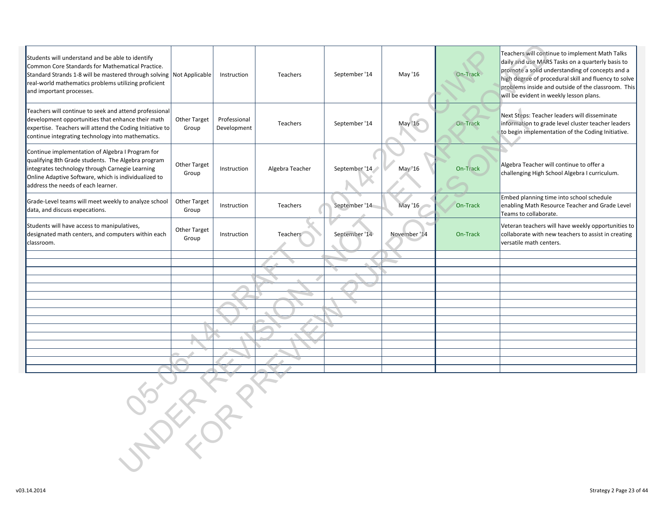| Students will understand and be able to identify<br>Common Core Standards for Mathematical Practice.<br>Standard Strands 1-8 will be mastered through solving Not Applicable<br>real-world mathematics problems utilizing proficient<br>and important processes. |                              | Instruction                 | Teachers        | September '14 | May '16      | On-Track | Teachers will continue to implement Math Talks<br>daily and use MARS Tasks on a quarterly basis to<br>promote a solid understanding of concepts and a<br>high degree of procedural skill and fluency to solve<br>problems inside and outside of the classroom. This<br>will be evident in weekly lesson plans. |
|------------------------------------------------------------------------------------------------------------------------------------------------------------------------------------------------------------------------------------------------------------------|------------------------------|-----------------------------|-----------------|---------------|--------------|----------|----------------------------------------------------------------------------------------------------------------------------------------------------------------------------------------------------------------------------------------------------------------------------------------------------------------|
| Teachers will continue to seek and attend professional<br>development opportunities that enhance their math<br>expertise. Teachers will attend the Coding Initiative to<br>continue integrating technology into mathematics.                                     | Other Target<br>Group        | Professional<br>Development | Teachers        | September '14 | May '16      | On-Track | Next Steps: Teacher leaders will disseminate<br>information to grade level cluster teacher leaders<br>to begin implementation of the Coding Initiative.                                                                                                                                                        |
| Continue implementation of Algebra I Program for<br>qualifying 8th Grade students. The Algebra program<br>integrates technology through Carnegie Learning<br>Online Adaptive Software, which is individualized to<br>address the needs of each learner.          | Other Target<br>Group        | Instruction                 | Algebra Teacher | September '14 | May '16      | On-Track | Algebra Teacher will continue to offer a<br>challenging High School Algebra I curriculum.                                                                                                                                                                                                                      |
| Grade-Level teams will meet weekly to analyze school<br>data, and discuss expecations.                                                                                                                                                                           | Other Target<br>Group        | Instruction                 | Teachers        | September '14 | May '16      | On-Track | Embed planning time into school schedule<br>enabling Math Resource Teacher and Grade Level<br>Teams to collaborate.                                                                                                                                                                                            |
| Students will have access to manipulatives,<br>designated math centers, and computers within each<br>classroom.                                                                                                                                                  | <b>Other Target</b><br>Group | Instruction                 | <b>Teachers</b> | September '14 | November '14 | On-Track | Veteran teachers will have weekly opportunities to<br>collaborate with new teachers to assist in creating<br>versatile math centers.                                                                                                                                                                           |
|                                                                                                                                                                                                                                                                  |                              |                             |                 |               |              |          |                                                                                                                                                                                                                                                                                                                |
|                                                                                                                                                                                                                                                                  |                              |                             |                 |               |              |          |                                                                                                                                                                                                                                                                                                                |
|                                                                                                                                                                                                                                                                  |                              |                             |                 |               |              |          |                                                                                                                                                                                                                                                                                                                |
|                                                                                                                                                                                                                                                                  |                              |                             |                 |               |              |          |                                                                                                                                                                                                                                                                                                                |
|                                                                                                                                                                                                                                                                  |                              |                             |                 |               |              |          |                                                                                                                                                                                                                                                                                                                |
|                                                                                                                                                                                                                                                                  |                              |                             |                 |               |              |          |                                                                                                                                                                                                                                                                                                                |
|                                                                                                                                                                                                                                                                  |                              |                             |                 |               |              |          |                                                                                                                                                                                                                                                                                                                |
|                                                                                                                                                                                                                                                                  |                              |                             |                 |               |              |          |                                                                                                                                                                                                                                                                                                                |
|                                                                                                                                                                                                                                                                  |                              |                             |                 |               |              |          |                                                                                                                                                                                                                                                                                                                |
|                                                                                                                                                                                                                                                                  |                              |                             |                 |               |              |          |                                                                                                                                                                                                                                                                                                                |
|                                                                                                                                                                                                                                                                  |                              |                             |                 |               |              |          |                                                                                                                                                                                                                                                                                                                |
|                                                                                                                                                                                                                                                                  |                              |                             |                 |               |              |          |                                                                                                                                                                                                                                                                                                                |
|                                                                                                                                                                                                                                                                  |                              |                             |                 |               |              |          |                                                                                                                                                                                                                                                                                                                |
|                                                                                                                                                                                                                                                                  |                              |                             |                 |               |              |          |                                                                                                                                                                                                                                                                                                                |
|                                                                                                                                                                                                                                                                  |                              |                             |                 |               |              |          |                                                                                                                                                                                                                                                                                                                |

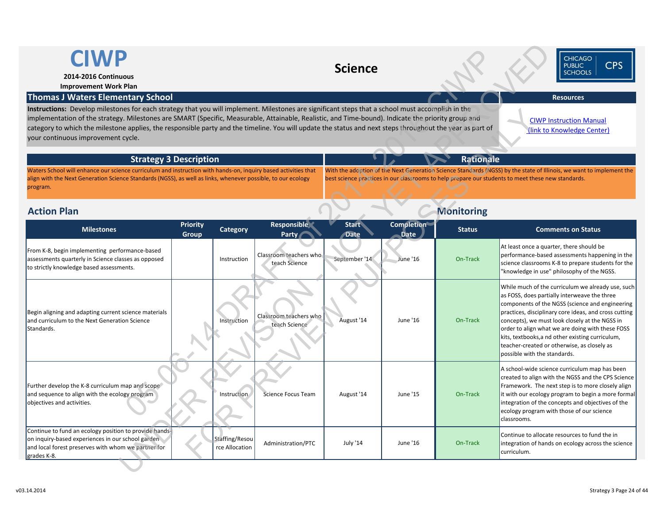| <b>CIMP</b><br>2014-2016 Continuous<br><b>Improvement Work Plan</b><br><b>Thomas J Waters Elementary School</b><br>Instructions: Develop milestones for each strategy that you will implement. Milestones are significant steps that a school must accomplish in the<br>implementation of the strategy. Milestones are SMART (Specific, Measurable, Attainable, Realistic, and Time-bound). Indicate the priority group and<br>category to which the milestone applies, the responsible party and the timeline. You will update the status and next steps throughout the year as part of<br>your continuous improvement cycle. |                               |                                         |                                         | <b>Science</b> |                   |                   | <b>CHICAGO</b><br><b>CPS</b><br><b>PUBLIC</b><br><b>SCHOOLS</b><br><b>Resources</b><br><b>CIWP Instruction Manual</b><br>(link to Knowledge Center)                                                                                                                                                                                                                                                                                                   |
|--------------------------------------------------------------------------------------------------------------------------------------------------------------------------------------------------------------------------------------------------------------------------------------------------------------------------------------------------------------------------------------------------------------------------------------------------------------------------------------------------------------------------------------------------------------------------------------------------------------------------------|-------------------------------|-----------------------------------------|-----------------------------------------|----------------|-------------------|-------------------|-------------------------------------------------------------------------------------------------------------------------------------------------------------------------------------------------------------------------------------------------------------------------------------------------------------------------------------------------------------------------------------------------------------------------------------------------------|
| Waters School will enhance our science curriculum and instruction with hands-on, inquiry based activities that<br>align with the Next Generation Science Standards (NGSS), as well as links, whenever possible, to our ecology<br>program.                                                                                                                                                                                                                                                                                                                                                                                     | <b>Strategy 3 Description</b> |                                         |                                         |                |                   | <b>Rationale</b>  | With the adoption of the Next Generation Science Standards (NGSS) by the state of Illinois, we want to implement the<br>best science practices in our classrooms to help prepare our students to meet these new standards.                                                                                                                                                                                                                            |
| <b>Action Plan</b>                                                                                                                                                                                                                                                                                                                                                                                                                                                                                                                                                                                                             | <b>Priority</b>               |                                         | <b>Responsible</b>                      | <b>Start</b>   | <b>Completion</b> | <b>Monitoring</b> |                                                                                                                                                                                                                                                                                                                                                                                                                                                       |
| <b>Milestones</b>                                                                                                                                                                                                                                                                                                                                                                                                                                                                                                                                                                                                              | Group                         | <b>Category</b>                         | Party                                   | <b>Date</b>    | <b>Date</b>       | <b>Status</b>     | <b>Comments on Status</b>                                                                                                                                                                                                                                                                                                                                                                                                                             |
| From K-8, begin implementing performance-based<br>assessments quarterly in Science classes as opposed<br>to strictly knowledge based assessments.                                                                                                                                                                                                                                                                                                                                                                                                                                                                              |                               | Instruction                             | Classroom teachers who<br>teach Science | September '14  | June '16          | On-Track          | At least once a quarter, there should be<br>performance-based assessments happening in the<br>science classrooms K-8 to prepare students for the<br>"knowledge in use" philosophy of the NGSS.                                                                                                                                                                                                                                                        |
| Begin aligning and adapting current science materials<br>and curriculum to the Next Generation Science<br>Standards.                                                                                                                                                                                                                                                                                                                                                                                                                                                                                                           |                               | Instruction                             | Classroom teachers who<br>teach Science | August '14     | June '16          | On-Track          | While much of the curriculum we already use, such<br>as FOSS, does partially interweave the three<br>components of the NGSS (science and engineering<br>practices, disciplinary core ideas, and cross cutting<br>concepts), we must look closely at the NGSS in<br>order to align what we are doing with these FOSS<br>kits, textbooks,a nd other existing curriculum,<br>teacher-created or otherwise, as closely as<br>possible with the standards. |
| Further develop the K-8 curriculum map and scope<br>and sequence to align with the ecology program<br>objectives and activities.                                                                                                                                                                                                                                                                                                                                                                                                                                                                                               |                               | Instruction                             | <b>Science Focus Team</b>               | August '14     | June '15          | On-Track          | A school-wide science curriculum map has been<br>created to align with the NGSS and the CPS Science<br>Framework. The next step is to more closely align<br>it with our ecology program to begin a more formal<br>integration of the concepts and objectives of the<br>ecology program with those of our science<br>classrooms.                                                                                                                       |
| Continue to fund an ecology position to provide hands-<br>on inquiry-based experiences in our school garden<br>and local forest preserves with whom we partner for<br>grades K-8.                                                                                                                                                                                                                                                                                                                                                                                                                                              |                               | <b>Staffing/Resou</b><br>rce Allocation | Administration/PTC                      | July '14       | June '16          | On-Track          | Continue to allocate resources to fund the in<br>integration of hands on ecology across the science<br>curriculum.                                                                                                                                                                                                                                                                                                                                    |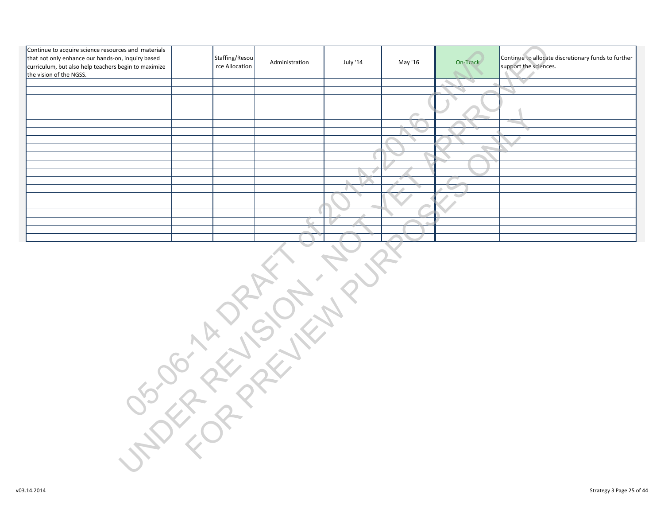| Continue to acquire science resources and materials<br>that not only enhance our hands-on, inquiry based<br>curriculum, but also help teachers begin to maximize<br>the vision of the NGSS. | Staffing/Resou<br>rce Allocation | Administration | July '14     | May '16       | On-Track      | Continue to allocate discretionary funds to further<br>support the sciences. |
|---------------------------------------------------------------------------------------------------------------------------------------------------------------------------------------------|----------------------------------|----------------|--------------|---------------|---------------|------------------------------------------------------------------------------|
|                                                                                                                                                                                             |                                  |                |              |               | $\rightarrow$ |                                                                              |
|                                                                                                                                                                                             |                                  |                |              |               |               |                                                                              |
|                                                                                                                                                                                             |                                  |                |              | $\rightarrow$ |               | 4                                                                            |
|                                                                                                                                                                                             |                                  |                |              |               |               |                                                                              |
|                                                                                                                                                                                             |                                  |                |              |               |               |                                                                              |
|                                                                                                                                                                                             |                                  |                |              |               |               |                                                                              |
|                                                                                                                                                                                             |                                  |                | ۰            |               |               |                                                                              |
|                                                                                                                                                                                             |                                  |                |              |               |               |                                                                              |
|                                                                                                                                                                                             |                                  |                | <b>Allen</b> |               |               |                                                                              |
|                                                                                                                                                                                             |                                  |                |              |               |               |                                                                              |
|                                                                                                                                                                                             |                                  |                |              |               |               |                                                                              |
|                                                                                                                                                                                             |                                  |                |              |               |               |                                                                              |
|                                                                                                                                                                                             |                                  |                |              |               |               |                                                                              |
|                                                                                                                                                                                             |                                  |                |              |               |               |                                                                              |
|                                                                                                                                                                                             |                                  |                |              |               |               |                                                                              |
|                                                                                                                                                                                             |                                  |                |              |               |               |                                                                              |
|                                                                                                                                                                                             |                                  |                |              |               |               |                                                                              |
|                                                                                                                                                                                             |                                  |                |              |               |               |                                                                              |
|                                                                                                                                                                                             |                                  |                |              |               |               |                                                                              |
|                                                                                                                                                                                             |                                  |                |              |               |               |                                                                              |
|                                                                                                                                                                                             |                                  |                |              |               |               |                                                                              |
|                                                                                                                                                                                             |                                  |                |              |               |               |                                                                              |
|                                                                                                                                                                                             |                                  |                |              |               |               |                                                                              |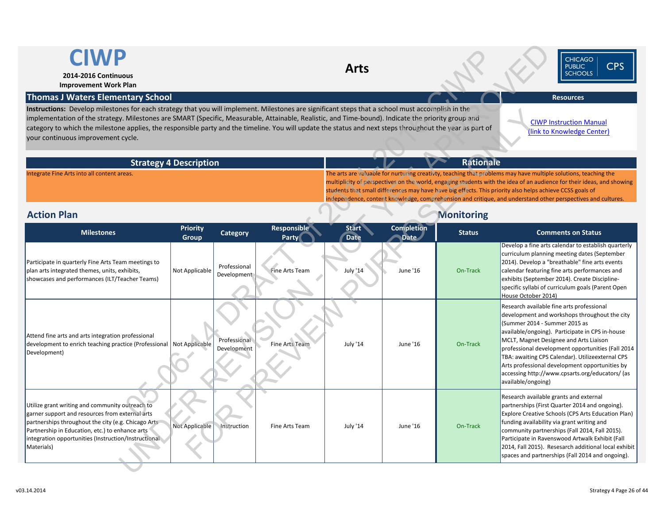| <b>CIWP</b><br>2014-2016 Continuous<br><b>Improvement Work Plan</b>                                                                                                                                                                                                                                                                                                                                                                                                                                         | <b>Arts</b> |  | CHICAGO  <br><b>CPS</b><br><b>PUBLIC</b><br><b>SCHOOLS</b>   |
|-------------------------------------------------------------------------------------------------------------------------------------------------------------------------------------------------------------------------------------------------------------------------------------------------------------------------------------------------------------------------------------------------------------------------------------------------------------------------------------------------------------|-------------|--|--------------------------------------------------------------|
| <b>Thomas J Waters Elementary School</b>                                                                                                                                                                                                                                                                                                                                                                                                                                                                    |             |  | <b>Resources</b>                                             |
| Instructions: Develop milestones for each strategy that you will implement. Milestones are significant steps that a school must accomplish in the<br>implementation of the strategy. Milestones are SMART (Specific, Measurable, Attainable, Realistic, and Time-bound). Indicate the priority group and<br>category to which the milestone applies, the responsible party and the timeline. You will update the status and next steps throughout the year as part of<br>your continuous improvement cycle. |             |  | <b>CIWP Instruction Manual</b><br>(link to Knowledge Center) |

| <b>Strategy 4 Description</b>               | Rationale <sup>1</sup>                                                                                                 |
|---------------------------------------------|------------------------------------------------------------------------------------------------------------------------|
| Integrate Fine Arts into all content areas. | The arts are valuable for nurturing creativty, teaching that problems may have multiple solutions, teaching the        |
|                                             | multiplicity of perspectives on the world, engaging students with the idea of an audience for their ideas, and showing |
|                                             | students that small differences may have have big effects. This priority also helps achieve CCSS goals of              |
|                                             | independence, content knowledge, comprehension and critique, and understand other perspectives and cultures.           |

## **Action Plan Monitoring**

| 2014-2016 Continuous<br><b>Improvement Work Plan</b><br><b>Thomas J Waters Elementary School</b><br>Instructions: Develop milestones for each strategy that you will implement. Milestones are significant steps that a school must accomplish in the<br>implementation of the strategy. Milestones are SMART (Specific, Measurable, Attainable, Realistic, and Time-bound). Indicate the priority group and<br>category to which the milestone applies, the responsible party and the timeline. You will update the status and next steps throughout the year as part of<br>your continuous improvement cycle. |                                 |                             |                             | <b>Arts</b>                 |                                                                                                                                                                                                                                                                                                                                                                                                                                                                        |                  | <b>CHICAGO</b><br><b>CPS</b><br><b>PUBLIC</b><br><b>SCHOOLS</b><br><b>Resources</b><br><b>CIWP Instruction Manual</b><br>(link to Knowledge Center)                                                                                                                                                                                                                                                                                                          |
|-----------------------------------------------------------------------------------------------------------------------------------------------------------------------------------------------------------------------------------------------------------------------------------------------------------------------------------------------------------------------------------------------------------------------------------------------------------------------------------------------------------------------------------------------------------------------------------------------------------------|---------------------------------|-----------------------------|-----------------------------|-----------------------------|------------------------------------------------------------------------------------------------------------------------------------------------------------------------------------------------------------------------------------------------------------------------------------------------------------------------------------------------------------------------------------------------------------------------------------------------------------------------|------------------|--------------------------------------------------------------------------------------------------------------------------------------------------------------------------------------------------------------------------------------------------------------------------------------------------------------------------------------------------------------------------------------------------------------------------------------------------------------|
|                                                                                                                                                                                                                                                                                                                                                                                                                                                                                                                                                                                                                 | <b>Strategy 4 Description</b>   |                             |                             |                             |                                                                                                                                                                                                                                                                                                                                                                                                                                                                        | <b>Rationale</b> |                                                                                                                                                                                                                                                                                                                                                                                                                                                              |
| Integrate Fine Arts into all content areas.<br><b>Action Plan</b>                                                                                                                                                                                                                                                                                                                                                                                                                                                                                                                                               |                                 |                             |                             | <b>Monitoring</b>           | The arts are valuable for nurturing creativty, teaching that problems may have multiple solutions, teaching the<br>multiplicity of perspectives on the world, engaging students with the idea of an audience for their ideas, and showing<br>students that small differences may have have big effects. This priority also helps achieve CCSS goals of<br>independence, content knowledge, comprehension and critique, and understand other perspectives and cultures. |                  |                                                                                                                                                                                                                                                                                                                                                                                                                                                              |
| <b>Milestones</b>                                                                                                                                                                                                                                                                                                                                                                                                                                                                                                                                                                                               | <b>Priority</b><br><b>Group</b> | Category                    | Responsible<br><b>Party</b> | <b>Start</b><br><b>Date</b> | <b>Completion</b><br><b>Date</b>                                                                                                                                                                                                                                                                                                                                                                                                                                       | <b>Status</b>    | <b>Comments on Status</b>                                                                                                                                                                                                                                                                                                                                                                                                                                    |
| Participate in quarterly Fine Arts Team meetings to<br>plan arts integrated themes, units, exhibits,<br>showcases and performances (ILT/Teacher Teams)                                                                                                                                                                                                                                                                                                                                                                                                                                                          | Not Applicable                  | Professional<br>Development | Fine Arts Team              | <b>July '14</b>             | June '16                                                                                                                                                                                                                                                                                                                                                                                                                                                               | On-Track         | Develop a fine arts calendar to establish quarterly<br>curriculum planning meeting dates (September<br>2014). Develop a "breathable" fine arts events<br>calendar featuring fine arts performances and<br>exhibits (September 2014). Create Discipline-<br>specific syllabi of curriculum goals (Parent Open<br>House October 2014)                                                                                                                          |
| Attend fine arts and arts integration professional<br>development to enrich teaching practice (Professional<br>Development)                                                                                                                                                                                                                                                                                                                                                                                                                                                                                     | Not Applicable                  | Professional<br>Development | Fine Arts Team              | <b>July '14</b>             | June '16                                                                                                                                                                                                                                                                                                                                                                                                                                                               | On-Track         | Research available fine arts professional<br>development and workshops throughout the city<br>(Summer 2014 - Summer 2015 as<br>available/ongoing). Participate in CPS in-house<br>MCLT, Magnet Designee and Arts Liaison<br>professional development opportunities (Fall 2014<br>TBA: awaiting CPS Calendar). Utilizeexternal CPS<br>Arts professional development opportunities by<br>accessing http://www.cpsarts.org/educators/ (as<br>available/ongoing) |
| Utilize grant writing and community outreach to<br>garner support and resources from external arts<br>partnerships throughout the city (e.g. Chicago Arts<br>Partnership in Education, etc.) to enhance arts<br>integration opportunities (Instruction/Instructional<br>Materials)                                                                                                                                                                                                                                                                                                                              | Not Applicable                  | Instruction                 | Fine Arts Team              | July '14                    | June '16                                                                                                                                                                                                                                                                                                                                                                                                                                                               | On-Track         | Research available grants and external<br>partnerships (First Quarter 2014 and ongoing).<br>Explore Creative Schools (CPS Arts Education Plan)<br>funding availability via grant writing and<br>community partnerships (Fall 2014, Fall 2015).<br>Participate in Ravenswood Artwalk Exhibit (Fall<br>2014, Fall 2015). Resesarch additional local exhibit<br>spaces and partnerships (Fall 2014 and ongoing).                                                |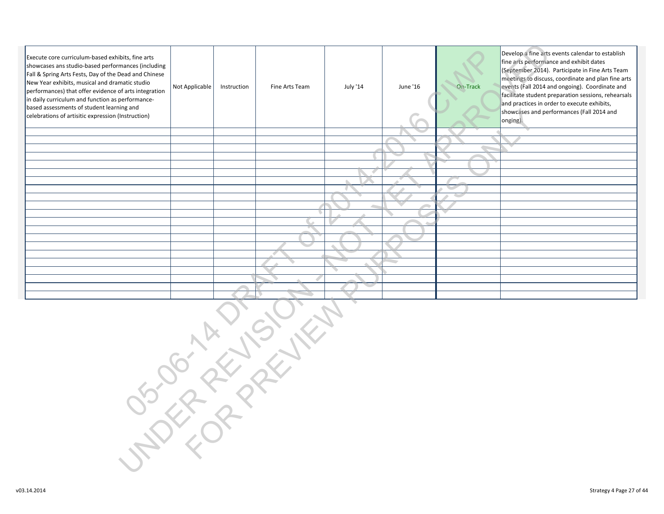| Execute core curriculum-based exhibits, fine arts<br>showcases ans studio-based performances (including<br>Fall & Spring Arts Fests, Day of the Dead and Chinese<br>New Year exhibits, musical and dramatic studio<br>performances) that offer evidence of arts integration<br>in daily curriculum and function as performance-<br>based assessments of student learning and<br>celebrations of artisitic expression (Instruction) | Not Applicable | Instruction | Fine Arts Team | <b>July '14</b> | June '16 | On-Track | Develop a fine arts events calendar to establish<br>fine arts performance and exhibit dates<br>(September 2014). Participate in Fine Arts Team<br>meetings to discuss, coordinate and plan fine arts<br>events (Fall 2014 and ongoing). Coordinate and<br>facilitate student preparation sessions, rehearsals<br>and practices in order to execute exhibits,<br>showcases and performances (Fall 2014 and<br>onging). |
|------------------------------------------------------------------------------------------------------------------------------------------------------------------------------------------------------------------------------------------------------------------------------------------------------------------------------------------------------------------------------------------------------------------------------------|----------------|-------------|----------------|-----------------|----------|----------|-----------------------------------------------------------------------------------------------------------------------------------------------------------------------------------------------------------------------------------------------------------------------------------------------------------------------------------------------------------------------------------------------------------------------|
|                                                                                                                                                                                                                                                                                                                                                                                                                                    |                |             |                |                 |          |          |                                                                                                                                                                                                                                                                                                                                                                                                                       |
|                                                                                                                                                                                                                                                                                                                                                                                                                                    |                |             |                |                 |          |          |                                                                                                                                                                                                                                                                                                                                                                                                                       |
|                                                                                                                                                                                                                                                                                                                                                                                                                                    |                |             |                |                 |          |          |                                                                                                                                                                                                                                                                                                                                                                                                                       |
|                                                                                                                                                                                                                                                                                                                                                                                                                                    |                |             |                |                 |          |          |                                                                                                                                                                                                                                                                                                                                                                                                                       |
|                                                                                                                                                                                                                                                                                                                                                                                                                                    |                |             |                |                 |          |          |                                                                                                                                                                                                                                                                                                                                                                                                                       |
|                                                                                                                                                                                                                                                                                                                                                                                                                                    |                |             |                |                 |          |          |                                                                                                                                                                                                                                                                                                                                                                                                                       |
|                                                                                                                                                                                                                                                                                                                                                                                                                                    |                |             |                |                 |          |          |                                                                                                                                                                                                                                                                                                                                                                                                                       |
|                                                                                                                                                                                                                                                                                                                                                                                                                                    |                |             |                | A               |          |          |                                                                                                                                                                                                                                                                                                                                                                                                                       |
|                                                                                                                                                                                                                                                                                                                                                                                                                                    |                |             |                |                 |          |          |                                                                                                                                                                                                                                                                                                                                                                                                                       |
|                                                                                                                                                                                                                                                                                                                                                                                                                                    |                |             |                |                 |          |          |                                                                                                                                                                                                                                                                                                                                                                                                                       |
|                                                                                                                                                                                                                                                                                                                                                                                                                                    |                |             |                |                 |          |          |                                                                                                                                                                                                                                                                                                                                                                                                                       |
|                                                                                                                                                                                                                                                                                                                                                                                                                                    |                |             |                |                 |          |          |                                                                                                                                                                                                                                                                                                                                                                                                                       |
|                                                                                                                                                                                                                                                                                                                                                                                                                                    |                |             |                |                 |          |          |                                                                                                                                                                                                                                                                                                                                                                                                                       |
|                                                                                                                                                                                                                                                                                                                                                                                                                                    |                |             |                |                 |          |          |                                                                                                                                                                                                                                                                                                                                                                                                                       |
|                                                                                                                                                                                                                                                                                                                                                                                                                                    |                |             |                |                 |          |          |                                                                                                                                                                                                                                                                                                                                                                                                                       |
|                                                                                                                                                                                                                                                                                                                                                                                                                                    |                |             |                |                 |          |          |                                                                                                                                                                                                                                                                                                                                                                                                                       |
|                                                                                                                                                                                                                                                                                                                                                                                                                                    |                |             |                |                 |          |          |                                                                                                                                                                                                                                                                                                                                                                                                                       |

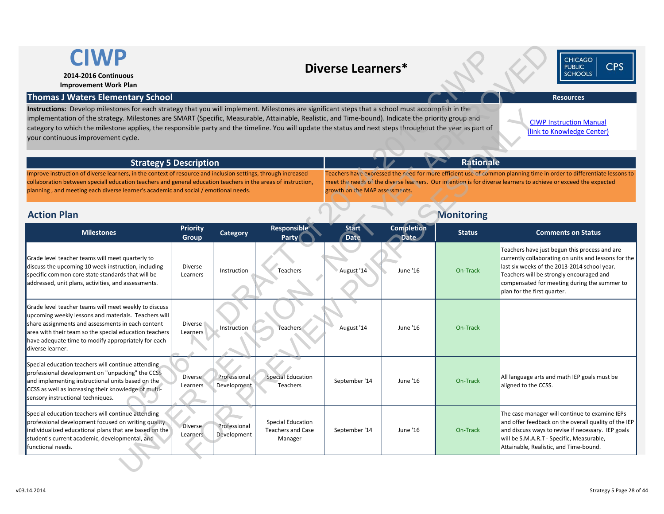| <b>CIMP</b><br>2014-2016 Continuous<br><b>Improvement Work Plan</b><br><b>Thomas J Waters Elementary School</b><br>Instructions: Develop milestones for each strategy that you will implement. Milestones are significant steps that a school must accomplish in the<br>implementation of the strategy. Milestones are SMART (Specific, Measurable, Attainable, Realistic, and Time-bound). Indicate the priority group and |                                                                                                                                                                                                                                                                                                                                                         |                             |                                                                 | Diverse Learners*           |                                  |                   | <b>CHICAGO</b><br><b>CPS</b><br><b>PUBLIC</b><br><b>SCHOOLS</b><br><b>Resources</b>                                                                                                                                                                                              |
|-----------------------------------------------------------------------------------------------------------------------------------------------------------------------------------------------------------------------------------------------------------------------------------------------------------------------------------------------------------------------------------------------------------------------------|---------------------------------------------------------------------------------------------------------------------------------------------------------------------------------------------------------------------------------------------------------------------------------------------------------------------------------------------------------|-----------------------------|-----------------------------------------------------------------|-----------------------------|----------------------------------|-------------------|----------------------------------------------------------------------------------------------------------------------------------------------------------------------------------------------------------------------------------------------------------------------------------|
| category to which the milestone applies, the responsible party and the timeline. You will update the status and next steps throughout the year as part of<br>your continuous improvement cycle.                                                                                                                                                                                                                             |                                                                                                                                                                                                                                                                                                                                                         |                             |                                                                 |                             |                                  |                   | <b>CIWP Instruction Manual</b><br>(link to Knowledge Center)                                                                                                                                                                                                                     |
| <b>Strategy 5 Description</b>                                                                                                                                                                                                                                                                                                                                                                                               |                                                                                                                                                                                                                                                                                                                                                         |                             |                                                                 |                             |                                  | <b>Rationale</b>  |                                                                                                                                                                                                                                                                                  |
|                                                                                                                                                                                                                                                                                                                                                                                                                             | Improve instruction of diverse learners, in the context of resource and inclusion settings, through increased<br>collaboration between speciall education teachers and general education teachers in the areas of instruction,<br>planning, and meeting each diverse learner's academic and social / emotional needs.<br>growth on the MAP assessments. |                             |                                                                 |                             |                                  |                   | Teachers have expressed the need for more efficient use of common planning time in order to differentiate lessons to<br>meet the needs of the diverse learners. Our intention is for diverse learners to achieve or exceed the expected                                          |
| <b>Action Plan</b>                                                                                                                                                                                                                                                                                                                                                                                                          |                                                                                                                                                                                                                                                                                                                                                         |                             |                                                                 |                             |                                  | <b>Monitoring</b> |                                                                                                                                                                                                                                                                                  |
| <b>Milestones</b>                                                                                                                                                                                                                                                                                                                                                                                                           | <b>Priority</b><br><b>Group</b>                                                                                                                                                                                                                                                                                                                         | Category                    | <b>Responsible</b><br><b>Party</b>                              | <b>Start</b><br><b>Date</b> | <b>Completion</b><br><b>Date</b> | <b>Status</b>     | <b>Comments on Status</b>                                                                                                                                                                                                                                                        |
| Grade level teacher teams will meet quarterly to<br>discuss the upcoming 10 week instruction, including<br>specific common core state standards that will be<br>addressed, unit plans, activities, and assessments.                                                                                                                                                                                                         | Diverse<br>Learners                                                                                                                                                                                                                                                                                                                                     | Instruction                 | Teachers                                                        | August '14                  | June '16                         | On-Track          | Teachers have just begun this process and are<br>currently collaborating on units and lessons for the<br>last six weeks of the 2013-2014 school year.<br>Teachers will be strongly encouraged and<br>compensated for meeting during the summer to<br>plan for the first quarter. |
| Grade level teacher teams will meet weekly to discuss<br>upcoming weekly lessons and materials. Teachers will<br>share assignments and assessments in each content<br>area with their team so the special education teachers<br>have adequate time to modify appropriately for each<br>diverse learner.                                                                                                                     | Diverse<br>Learners                                                                                                                                                                                                                                                                                                                                     | Instruction                 | Teachers                                                        | August '14                  | June '16                         | On-Track          |                                                                                                                                                                                                                                                                                  |
| Special education teachers will continue attending<br>professional development on "unpacking" the CCSS<br>and implementing instructional units based on the<br>CCSS as well as increasing their knowledge of multi-<br>sensory instructional techniques.                                                                                                                                                                    | <b>Diverse</b><br>Learners                                                                                                                                                                                                                                                                                                                              | Professional<br>Development | <b>Special Education</b><br>Teachers                            | September '14               | June '16                         | On-Track          | All language arts and math IEP goals must be<br>aligned to the CCSS.                                                                                                                                                                                                             |
| Special education teachers will continue attending<br>professional development focused on writing quality<br>individualized educational plans that are based on the<br>student's current academic, developmental, and<br>functional needs.                                                                                                                                                                                  | Diverse<br>Learners                                                                                                                                                                                                                                                                                                                                     | Professional<br>Development | <b>Special Education</b><br><b>Teachers and Case</b><br>Manager | September '14               | June '16                         | On-Track          | The case manager will continue to examine IEPs<br>and offer feedback on the overall quality of the IEP<br>and discuss ways to revise if necessary. IEP goals<br>will be S.M.A.R.T - Specific, Measurable,<br>Attainable, Realistic, and Time-bound.                              |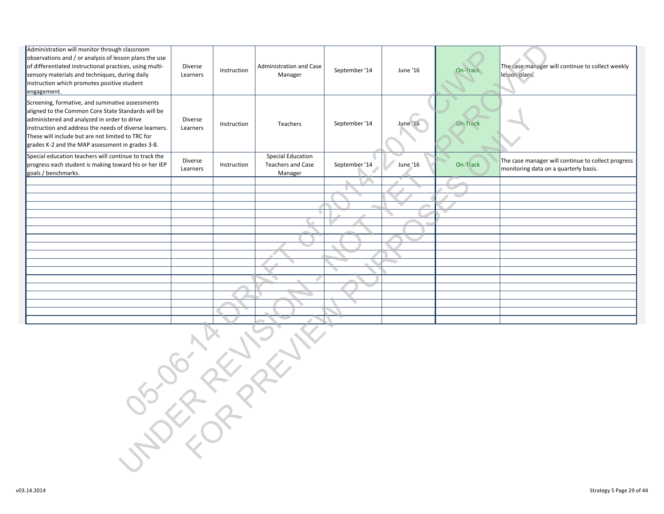| Administration will monitor through classroom<br>observations and / or analysis of lesson plans the use<br>of differentiated instructional practices, using multi-<br>sensory materials and techniques, during daily<br>instruction which promotes positive student<br>engagement.                                      | Diverse<br>Learners | Instruction | Administration and Case<br>Manager                       | September '14 | June '16 | On-Track | The case manager will continue to collect weekly<br>lesson plans.                           |
|-------------------------------------------------------------------------------------------------------------------------------------------------------------------------------------------------------------------------------------------------------------------------------------------------------------------------|---------------------|-------------|----------------------------------------------------------|---------------|----------|----------|---------------------------------------------------------------------------------------------|
| Screening, formative, and summative assessments<br>aligned to the Common Core State Standards will be<br>administered and analyzed in order to drive<br>instruction and address the needs of diverse learners.<br>These will include but are not limited to TRC for<br>grades K-2 and the MAP assessment in grades 3-8. | Diverse<br>Learners | Instruction | Teachers                                                 | September '14 | June '16 | On-Track |                                                                                             |
| Special education teachers will continue to track the<br>progress each student is making toward his or her IEP<br>goals / benchmarks.                                                                                                                                                                                   | Diverse<br>Learners | Instruction | <b>Special Education</b><br>Teachers and Case<br>Manager | September '14 | June 16  | On-Track | The case manager will continue to collect progress<br>monitoring data on a quarterly basis. |
|                                                                                                                                                                                                                                                                                                                         |                     |             |                                                          |               |          |          |                                                                                             |
|                                                                                                                                                                                                                                                                                                                         |                     |             |                                                          | ×             |          |          |                                                                                             |
|                                                                                                                                                                                                                                                                                                                         |                     |             |                                                          |               |          |          |                                                                                             |
|                                                                                                                                                                                                                                                                                                                         |                     |             |                                                          |               |          |          |                                                                                             |
|                                                                                                                                                                                                                                                                                                                         |                     |             |                                                          |               |          |          |                                                                                             |
|                                                                                                                                                                                                                                                                                                                         |                     |             |                                                          |               |          |          |                                                                                             |
|                                                                                                                                                                                                                                                                                                                         |                     |             |                                                          |               |          |          |                                                                                             |
|                                                                                                                                                                                                                                                                                                                         |                     |             |                                                          |               |          |          |                                                                                             |
|                                                                                                                                                                                                                                                                                                                         |                     |             |                                                          |               |          |          |                                                                                             |
|                                                                                                                                                                                                                                                                                                                         |                     |             |                                                          |               |          |          |                                                                                             |
|                                                                                                                                                                                                                                                                                                                         |                     |             |                                                          |               |          |          |                                                                                             |
|                                                                                                                                                                                                                                                                                                                         |                     |             |                                                          |               |          |          |                                                                                             |
|                                                                                                                                                                                                                                                                                                                         |                     |             |                                                          |               |          |          |                                                                                             |

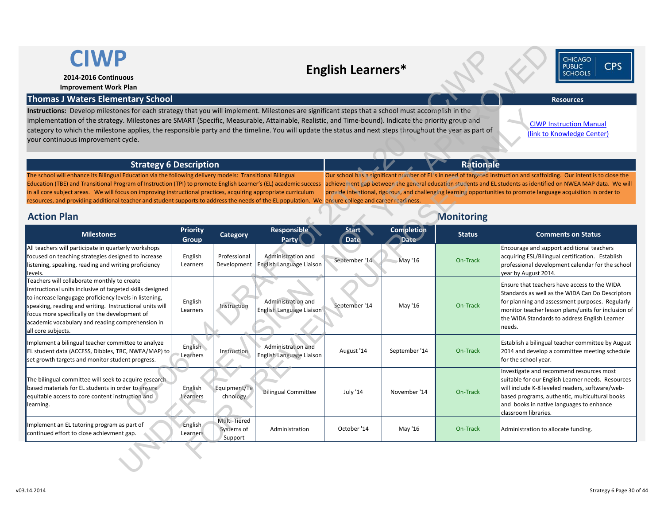## **CIWP English Learners\* CHICAGO** CPS **PUBLIC SCHOOLS 2014-2016 Continuous Improvement Work Plan Thomas J Waters Elementary School Resources Instructions:** Develop milestones for each strategy that you will implement. Milestones are significant steps that a school must accomplish in the implementation of the strategy. Milestones are SMART (Specific, Measurable, Attainable, Realistic, and Time-bound). Indicate the priority group and [CIWP Instruction Manual](https://sites.google.com/a/cps.edu/kc/leadership/ciwp) category to which the milestone applies, the responsible party and the timeline. You will update the status and next steps throughout the year as part of [\(link to Knowledge Center\)](https://sites.google.com/a/cps.edu/kc/leadership/ciwp) your continuous improvement cycle. **Strategy 6 Description Rationale**

## **Action Plan Monitoring**

| 2014-2016 Continuous<br><b>Improvement Work Plan</b>                                                                                                                                                                                                                                                                                                                                                                                                                                                                                                                        |                                 |                                       |                                                | <b>English Learners*</b>    |                                                                                                                                                                                                                                                                                                                                                                |                  | <b>CHICAGO</b><br><b>CPS</b><br><b>PUBLIC</b><br><b>SCHOOLS</b>                                                                                                                                                                                                        |  |  |
|-----------------------------------------------------------------------------------------------------------------------------------------------------------------------------------------------------------------------------------------------------------------------------------------------------------------------------------------------------------------------------------------------------------------------------------------------------------------------------------------------------------------------------------------------------------------------------|---------------------------------|---------------------------------------|------------------------------------------------|-----------------------------|----------------------------------------------------------------------------------------------------------------------------------------------------------------------------------------------------------------------------------------------------------------------------------------------------------------------------------------------------------------|------------------|------------------------------------------------------------------------------------------------------------------------------------------------------------------------------------------------------------------------------------------------------------------------|--|--|
| <b>Thomas J Waters Elementary School</b>                                                                                                                                                                                                                                                                                                                                                                                                                                                                                                                                    |                                 |                                       |                                                |                             |                                                                                                                                                                                                                                                                                                                                                                |                  | <b>Resources</b>                                                                                                                                                                                                                                                       |  |  |
| Instructions: Develop milestones for each strategy that you will implement. Milestones are significant steps that a school must accomplish in the<br>implementation of the strategy. Milestones are SMART (Specific, Measurable, Attainable, Realistic, and Time-bound). Indicate the priority group and<br><b>CIWP Instruction Manual</b><br>category to which the milestone applies, the responsible party and the timeline. You will update the status and next steps throughout the year as part of<br>(link to Knowledge Center)<br>your continuous improvement cycle. |                                 |                                       |                                                |                             |                                                                                                                                                                                                                                                                                                                                                                |                  |                                                                                                                                                                                                                                                                        |  |  |
| <b>Strategy 6 Description</b>                                                                                                                                                                                                                                                                                                                                                                                                                                                                                                                                               |                                 |                                       |                                                |                             |                                                                                                                                                                                                                                                                                                                                                                | <b>Rationale</b> |                                                                                                                                                                                                                                                                        |  |  |
| The school will enhance its Bilingual Education via the following delivery models: Transitional Bilingual<br>Education (TBE) and Transitional Program of Instruction (TPI) to promote English Learner's (EL) academic success<br>in all core subject areas. We will focus on improving instructional practices, acquiring appropriate curriculum<br>resources, and providing additional teacher and student supports to address the needs of the EL population. We ensure college and career readiness.                                                                     |                                 |                                       |                                                |                             | Our school has a significant number of EL's in need of targeted instruction and scaffolding. Our intent is to close the<br>achievement gap between the general education students and EL students as identified on NWEA MAP data. We will<br>provide intentional, rigorous, and challenging learning opportunities to promote language acquisition in order to |                  |                                                                                                                                                                                                                                                                        |  |  |
| <b>Action Plan</b>                                                                                                                                                                                                                                                                                                                                                                                                                                                                                                                                                          |                                 |                                       |                                                |                             | <b>Monitoring</b>                                                                                                                                                                                                                                                                                                                                              |                  |                                                                                                                                                                                                                                                                        |  |  |
| <b>Milestones</b>                                                                                                                                                                                                                                                                                                                                                                                                                                                                                                                                                           | <b>Priority</b><br><b>Group</b> | Category                              | <b>Responsible</b><br>Party                    | <b>Start</b><br><b>Date</b> | <b>Completion</b><br><b>Date</b>                                                                                                                                                                                                                                                                                                                               | <b>Status</b>    | <b>Comments on Status</b>                                                                                                                                                                                                                                              |  |  |
| All teachers will participate in quarterly workshops<br>focused on teaching strategies designed to increase<br>listening, speaking, reading and writing proficiency<br>levels.                                                                                                                                                                                                                                                                                                                                                                                              | English<br>Learners             | Professional<br>Development           | Administration and<br>English Language Liaison | September '14               | May '16                                                                                                                                                                                                                                                                                                                                                        | On-Track         | Encourage and support additional teachers<br>acquiring ESL/Bilingual certification. Establish<br>professional development calendar for the school<br>year by August 2014.                                                                                              |  |  |
| Teachers will collaborate monthly to create<br>instructional units inclusive of targeted skills designed<br>to increase langugage proficiency levels in listening,<br>speaking, reading and writing. Instructional units will<br>focus more specifically on the development of<br>academic vocabulary and reading comprehension in<br>all core subjects.                                                                                                                                                                                                                    | English<br>Learners             | Instruction                           | Administration and<br>English Language Liaison | September '14               | May '16                                                                                                                                                                                                                                                                                                                                                        | On-Track         | Ensure that teachers have access to the WIDA<br>Standards as well as the WIDA Can Do Descriptors<br>for planning and assessment purposes. Regularly<br>monitor teacher lesson plans/units for inclusion of<br>the WIDA Standards to address English Learner<br>Ineeds. |  |  |
| Implement a bilingual teacher committee to analyze<br>EL student data (ACCESS, Dibbles, TRC, NWEA/MAP) to<br>set growth targets and monitor student progress.                                                                                                                                                                                                                                                                                                                                                                                                               | English<br>Learners             | Instruction                           | Administration and<br>English Language Liaison | August '14                  | September '14                                                                                                                                                                                                                                                                                                                                                  | On-Track         | Establish a bilingual teacher committee by August<br>2014 and develop a committee meeting schedule<br>for the school year.                                                                                                                                             |  |  |
| The bilingual committee will seek to acquire research<br>based materials for EL students in order to ensure<br>equitable access to core content instruction and<br>learning.                                                                                                                                                                                                                                                                                                                                                                                                | English<br>Learners             | Equipment/Te<br>chnology              | <b>Bilingual Committee</b>                     | <b>July '14</b>             | November '14                                                                                                                                                                                                                                                                                                                                                   | On-Track         | Investigate and recommend resources most<br>suitable for our English Learner needs. Resources<br>will include K-8 leveled readers, software/web-<br>based programs, authentic, multicultural books<br>and books in native languages to enhance<br>classroom libraries. |  |  |
| Implement an EL tutoring program as part of<br>continued effort to close achievment gap.                                                                                                                                                                                                                                                                                                                                                                                                                                                                                    | English<br>Learners             | Multi-Tiered<br>Systems of<br>Support | Administration                                 | October '14                 | May '16                                                                                                                                                                                                                                                                                                                                                        | On-Track         | Administration to allocate funding.                                                                                                                                                                                                                                    |  |  |
|                                                                                                                                                                                                                                                                                                                                                                                                                                                                                                                                                                             |                                 |                                       |                                                |                             |                                                                                                                                                                                                                                                                                                                                                                |                  |                                                                                                                                                                                                                                                                        |  |  |